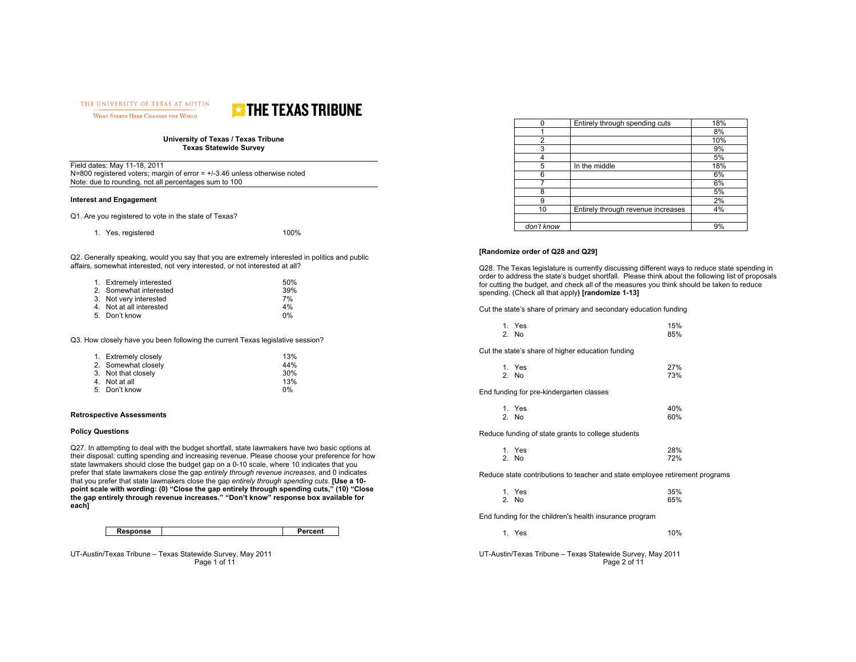THE UNIVERSITY OF TEXAS AT AUSTIN WHAT STARTS HERE CHANGES THE WORLD



#### **University of Texas / Texas Tribune Texas Statewide Survey**

| Field dates: May 11-18, 2011                                               |
|----------------------------------------------------------------------------|
| N=800 registered voters; margin of error $= +/3.46$ unless otherwise noted |
| Note: due to rounding, not all percentages sum to 100                      |

### **Interest and Engagement**

Q1. Are you registered to vote in the state of Texas?

| 1. Yes, registered | 100% |
|--------------------|------|
|--------------------|------|

Q2. Generally speaking, would you say that you are extremely interested in politics and public affairs, somewhat interested, not very interested, or not interested at all?

| 1. Extremely interested  | 50% |
|--------------------------|-----|
| 2. Somewhat interested   | 39% |
| 3. Not very interested   | 7%  |
| 4. Not at all interested | 4%  |
| 5. Don't know            | 0%  |

Q3. How closely have you been following the current Texas legislative session?

| 1. Extremely closely | 13% |
|----------------------|-----|
| 2. Somewhat closely  | 44% |
| 3. Not that closely  | 30% |
| 4. Not at all        | 13% |
| 5. Don't know        | 0%  |

#### **Retrospective Assessments**

#### **Policy Questions**

Q27. In attempting to deal with the budget shortfall, state lawmakers have two basic options at their disposal: cutting spending and increasing revenue. Please choose your preference for how state lawmakers should close the budget gap on a 0-10 scale, where 10 indicates that you prefer that state lawmakers close the gap *entirely through revenue increases*, and 0 indicates that you prefer that state lawmakers close the gap *entirely through spending cuts*. **[Use a 10 point scale with wording: (0) "Close the gap entirely through spending cuts," (10) "Close the gap entirely through revenue increases." "Don't know" response box available for each]** 

| Response | Percent |
|----------|---------|

UT-Austin/Texas Tribune – Texas Statewide Survey, May 2011 Page 1 of 11

|            | Entirely through spending cuts     | 18% |
|------------|------------------------------------|-----|
|            |                                    | 8%  |
| 2          |                                    | 10% |
| 3          |                                    | 9%  |
|            |                                    | 5%  |
| 5          | In the middle                      | 18% |
| 6          |                                    | 6%  |
|            |                                    | 6%  |
| 8          |                                    | 5%  |
| 9          |                                    | 2%  |
| 10         | Entirely through revenue increases | 4%  |
|            |                                    |     |
| don't know |                                    | 9%  |

## **[Randomize order of Q28 and Q29]**

Q28. The Texas legislature is currently discussing different ways to reduce state spending in order to address the state's budget shortfall. Please think about the following list of proposals for cutting the budget, and check all of the measures you think should be taken to reduce spending. (Check all that apply**) [randomize 1-13]**

Cut the state's share of primary and secondary education funding

| Cut the state's share of higher education funding                            |            |
|------------------------------------------------------------------------------|------------|
| 1. Yes<br>2. No                                                              | 27%<br>73% |
| End funding for pre-kindergarten classes                                     |            |
| 1. Yes<br>2. No                                                              | 40%<br>60% |
| Reduce funding of state grants to college students                           |            |
| 1. Yes<br>2. No                                                              | 28%<br>72% |
| Reduce state contributions to teacher and state employee retirement programs |            |
| 1. Yes<br>2. No                                                              | 35%<br>65% |
| End funding for the children's health insurance program                      |            |
| 1. Yes                                                                       | 10%        |

UT-Austin/Texas Tribune – Texas Statewide Survey, May 2011 Page 2 of 11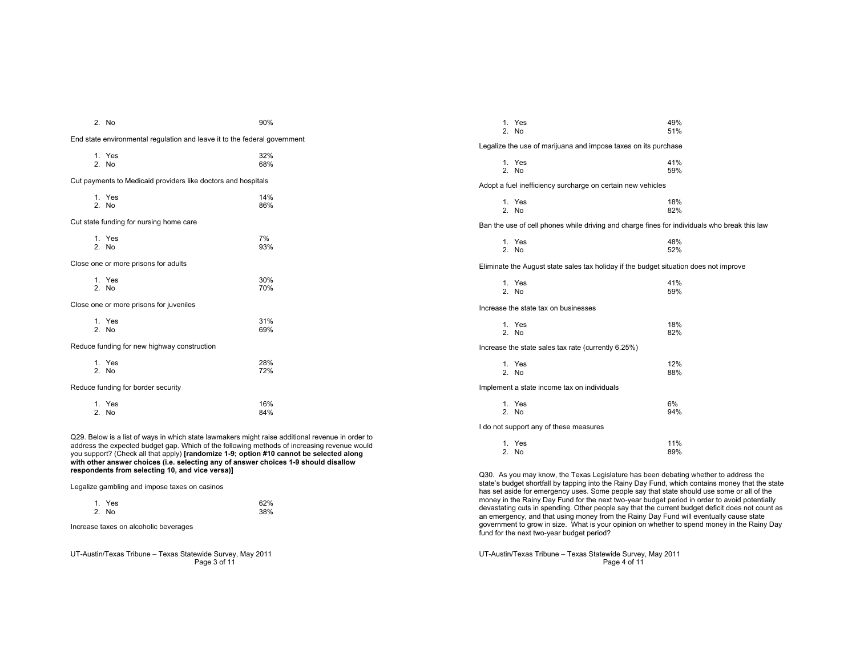|                                                                                                                                                                                                                                                                                                                                                                                                                                      | 2. No                                                                     | 90%        |  |
|--------------------------------------------------------------------------------------------------------------------------------------------------------------------------------------------------------------------------------------------------------------------------------------------------------------------------------------------------------------------------------------------------------------------------------------|---------------------------------------------------------------------------|------------|--|
|                                                                                                                                                                                                                                                                                                                                                                                                                                      | End state environmental regulation and leave it to the federal government |            |  |
|                                                                                                                                                                                                                                                                                                                                                                                                                                      | 1. Yes<br>$2.$ No                                                         | 32%<br>68% |  |
|                                                                                                                                                                                                                                                                                                                                                                                                                                      | Cut payments to Medicaid providers like doctors and hospitals             |            |  |
|                                                                                                                                                                                                                                                                                                                                                                                                                                      | 1. Yes<br>2. No                                                           | 14%<br>86% |  |
|                                                                                                                                                                                                                                                                                                                                                                                                                                      | Cut state funding for nursing home care                                   |            |  |
|                                                                                                                                                                                                                                                                                                                                                                                                                                      | 1. Yes<br>$2.$ No                                                         | 7%<br>93%  |  |
| Close one or more prisons for adults                                                                                                                                                                                                                                                                                                                                                                                                 |                                                                           |            |  |
|                                                                                                                                                                                                                                                                                                                                                                                                                                      | 1. Yes<br>$2.$ No.                                                        | 30%<br>70% |  |
| Close one or more prisons for juveniles                                                                                                                                                                                                                                                                                                                                                                                              |                                                                           |            |  |
|                                                                                                                                                                                                                                                                                                                                                                                                                                      | 1. Yes<br>2. No                                                           | 31%<br>69% |  |
|                                                                                                                                                                                                                                                                                                                                                                                                                                      | Reduce funding for new highway construction                               |            |  |
|                                                                                                                                                                                                                                                                                                                                                                                                                                      | 1. Yes<br>$2.$ No                                                         | 28%<br>72% |  |
| Reduce funding for border security                                                                                                                                                                                                                                                                                                                                                                                                   |                                                                           |            |  |
|                                                                                                                                                                                                                                                                                                                                                                                                                                      | 1. Yes<br>2. No                                                           | 16%<br>84% |  |
| Q29. Below is a list of ways in which state lawmakers might raise additional revenue in order to<br>address the expected budget gap. Which of the following methods of increasing revenue would<br>you support? (Check all that apply) [randomize 1-9; option #10 cannot be selected along<br>with other answer choices (i.e. selecting any of answer choices 1-9 should disallow<br>respondents from selecting 10, and vice versa)] |                                                                           |            |  |
| Legalize gambling and impose taxes on casinos                                                                                                                                                                                                                                                                                                                                                                                        |                                                                           |            |  |

| 1. Yes | 62% |
|--------|-----|
| 2. No  | 38% |

Increase taxes on alcoholic beverages

UT-Austin/Texas Tribune – Texas Statewide Survey, May 2011 Page 3 of 11

|                                                                                       | 1. Yes<br>$2.$ No                                                                            | 49%<br>51% |  |  |
|---------------------------------------------------------------------------------------|----------------------------------------------------------------------------------------------|------------|--|--|
| Legalize the use of marijuana and impose taxes on its purchase                        |                                                                                              |            |  |  |
|                                                                                       | 1. Yes<br>2. No                                                                              | 41%<br>59% |  |  |
|                                                                                       | Adopt a fuel inefficiency surcharge on certain new vehicles                                  |            |  |  |
|                                                                                       | 1. Yes<br>2. No                                                                              | 18%<br>82% |  |  |
|                                                                                       | Ban the use of cell phones while driving and charge fines for individuals who break this law |            |  |  |
|                                                                                       | 1. Yes<br>$2.$ No.                                                                           | 48%<br>52% |  |  |
| Eliminate the August state sales tax holiday if the budget situation does not improve |                                                                                              |            |  |  |
|                                                                                       | 1. Yes<br>$2.$ No                                                                            | 41%<br>59% |  |  |
| Increase the state tax on businesses                                                  |                                                                                              |            |  |  |
|                                                                                       | 1. Yes<br>2. No                                                                              | 18%<br>82% |  |  |
|                                                                                       | Increase the state sales tax rate (currently 6.25%)                                          |            |  |  |
|                                                                                       | 1. Yes<br>$2.$ No                                                                            | 12%<br>88% |  |  |
| Implement a state income tax on individuals                                           |                                                                                              |            |  |  |
|                                                                                       | 1. Yes<br>$2.$ No                                                                            | 6%<br>94%  |  |  |
| I do not support any of these measures                                                |                                                                                              |            |  |  |
|                                                                                       | 1. Yes<br>2. No                                                                              | 11%<br>89% |  |  |
|                                                                                       |                                                                                              |            |  |  |

Q30. As you may know, the Texas Legislature has been debating whether to address the<br>state's budget shortfall by tapping into the Rainy Day Fund, which contains money that the state<br>has set aside for emergency uses. Some money in the Rainy Day Fund for the next two-year budget period in order to avoid potentially devastating cuts in spending. Other people say that the current budget deficit does not count as an emergency, and that using money from the Rainy Day Fund will eventually cause state government to grow in size. What is your opinion on whether to spend money in the Rainy Day fund for the next two-year budget period?

UT-Austin/Texas Tribune – Texas Statewide Survey, May 2011 Page 4 of 11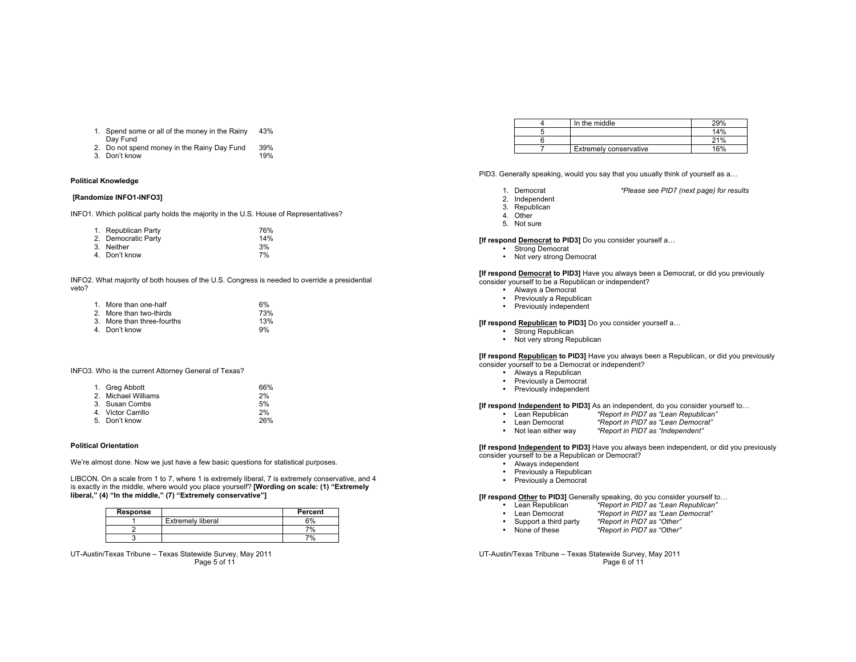- 1. Spend some or all of the money in the Rainy 43% Day Fund
- 2. Do not spend money in the Rainy Day Fund 39%
- 3. Don't know 19%

# **Political Knowledge**

## **[Randomize INFO1-INFO3]**

INFO1. Which political party holds the majority in the U.S. House of Representatives?

| 1. Republican Party | 76% |
|---------------------|-----|
| 2. Democratic Party | 14% |
| 3. Neither          | 3%  |
| 4. Don't know       | 7%  |

INFO2. What majority of both houses of the U.S. Congress is needed to override a presidential veto?

| 1. More than one-half      | 6%  |
|----------------------------|-----|
| 2. More than two-thirds    | 73% |
| 3. More than three-fourths | 13% |
| 4. Don't know              | 9%  |

INFO3. Who is the current Attorney General of Texas?

| 1. Greg Abbott      | 66% |
|---------------------|-----|
| 2. Michael Williams | 2%  |
| 3. Susan Combs      | 5%  |
| 4. Victor Carrillo  | 2%  |
| 5. Don't know       | 26% |

#### **Political Orientation**

We're almost done. Now we just have a few basic questions for statistical purposes.

LIBCON. On a scale from 1 to 7, where 1 is extremely liberal, 7 is extremely conservative, and 4 is exactly in the middle, where would you place yourself? **[Wording on scale: (1) "Extremely liberal," (4) "In the middle," (7) "Extremely conservative"]**

| Response |                          | Percent |
|----------|--------------------------|---------|
|          | <b>Extremely liberal</b> | 6%      |
|          |                          | 7%      |
|          |                          | 7%      |

UT-Austin/Texas Tribune – Texas Statewide Survey, May 2011 Page 5 of 11

| In the middle                 | 29% |
|-------------------------------|-----|
|                               | 14% |
|                               | 21% |
| <b>Extremely conservative</b> | 16% |

PID3. Generally speaking, would you say that you usually think of yourself as a…

- 1. Democrat *\*Please see PID7 (next page) for results*
- 2. Independent

3. Republican

- 4. Other
- 5. Not sure

#### **[If respond Democrat to PID3]** Do you consider yourself a…

- Strong Democrat
- Not very strong Democrat

#### **[If respond Democrat to PID3]** Have you always been a Democrat, or did you previously consider yourself to be a Republican or independent?

- Always a Democrat
- Previously a Republican
- Previously independent

#### **[If respond Republican to PID3]** Do you consider yourself a…

- Strong Republican
- Not very strong Republican

#### **[If respond Republican to PID3]** Have you always been a Republican, or did you previously consider yourself to be a Democrat or independent?

- Always a Republican
- Previously a Democrat
- Previously independent

# **[If respond Independent to PID3]** As an independent, do you consider yourself to...<br>• Lean Republican \*Report in PID7 as "Lean Republican"

- Lean Republican *\*Report in PID7 as "Lean Republican"*
- Lean Democrat *\*Report in PID7 as "Lean Democrat"*
- Not lean either way *\*Report in PID7 as "Independent"*

#### **[If respond Independent to PID3]** Have you always been independent, or did you previously consider yourself to be a Republican or Democrat?

- Always independent
- 
- Previously a Republican
- Previously a Democrat

# **[If respond Other to PID3]** Generally speaking, do you consider yourself to...<br>• Lean Republican \*Report in PID7 as "Lean Republican"

- Lean Republican *\*Report in PID7 as "Lean Republican"*
- Lean Democrat *\*Report in PID7 as "Lean Democrat"*
- Support a third party *\*Report in PID7 as "Other"*
- None of these *\*Report in PID7 as "Other"*

UT-Austin/Texas Tribune – Texas Statewide Survey, May 2011 Page 6 of 11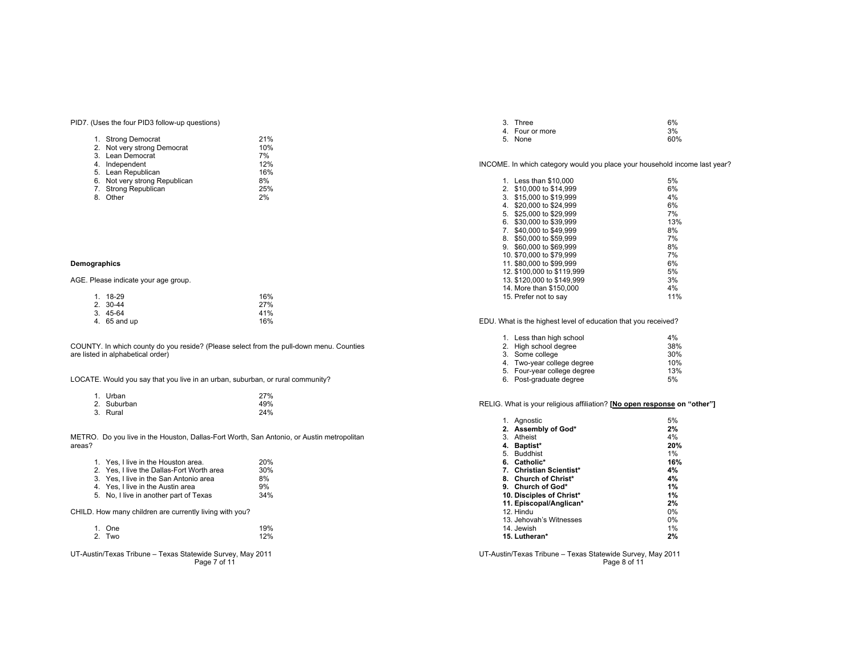PID7. (Uses the four PID3 follow-up questions)

| 1. | <b>Strong Democrat</b>        | 21% |
|----|-------------------------------|-----|
|    | 2. Not very strong Democrat   | 10% |
|    | 3. Lean Democrat              | 7%  |
|    | 4. Independent                | 12% |
|    | 5. Lean Republican            | 16% |
|    | 6. Not very strong Republican | 8%  |
|    | 7. Strong Republican          | 25% |
| 8. | Other                         | 2%  |

# **Demographics**

AGE. Please indicate your age group.

| $1.18-29$    | 16% |
|--------------|-----|
| $2.30 - 44$  | 27% |
| $3.45-64$    | 41% |
| 4. 65 and up | 16% |

COUNTY. In which county do you reside? (Please select from the pull-down menu. Counties are listed in alphabetical order)

LOCATE. Would you say that you live in an urban, suburban, or rural community?

|    | 1. Urban    | 27% |
|----|-------------|-----|
|    | 2. Suburban | 49% |
| 3. | Rural       | 24% |

METRO. Do you live in the Houston, Dallas-Fort Worth, San Antonio, or Austin metropolitan areas?

| 1. Yes. I live in the Houston area.                     | 20% |
|---------------------------------------------------------|-----|
| 2. Yes, I live the Dallas-Fort Worth area               | 30% |
| 3. Yes. I live in the San Antonio area                  | 8%  |
| 4. Yes, I live in the Austin area                       | 9%  |
| 5. No, I live in another part of Texas                  | 34% |
| CHILD. How many children are currently living with you? |     |

| 1. One | 19% |
|--------|-----|
| 2. Two | 12% |

UT-Austin/Texas Tribune – Texas Statewide Survey, May 2011 Page 7 of 11

| 3. Three        | 6%  |
|-----------------|-----|
| 4. Four or more | 3%  |
| 5. None         | 60% |

INCOME. In which category would you place your household income last year?

| $1_{-}$ | Less than \$10,000         | 5%  |
|---------|----------------------------|-----|
| 2.      | \$10,000 to \$14,999       | 6%  |
| 3.      | \$15,000 to \$19,999       | 4%  |
| 4.      | \$20,000 to \$24,999       | 6%  |
| 5.      | \$25,000 to \$29,999       | 7%  |
| 6.      | \$30,000 to \$39,999       | 13% |
| 7.      | \$40,000 to \$49,999       | 8%  |
| 8.      | \$50,000 to \$59,999       | 7%  |
| 9.      | \$60,000 to \$69,999       | 8%  |
|         | 10. \$70,000 to \$79,999   | 7%  |
|         | 11, \$80,000 to \$99,999   | 6%  |
|         | 12, \$100,000 to \$119,999 | 5%  |
|         | 13. \$120,000 to \$149,999 | 3%  |
|         | 14. More than \$150,000    | 4%  |
|         | 15. Prefer not to say      | 11% |

EDU. What is the highest level of education that you received?

| 1. Less than high school    | 4%  |
|-----------------------------|-----|
| 2. High school degree       | 38% |
| 3. Some college             | 30% |
| 4. Two-year college degree  | 10% |
| 5. Four-year college degree | 13% |
| 6. Post-graduate degree     | 5%  |

RELIG. What is your religious affiliation? **[No open response on "other"]**

| Aanostic<br>1.           | 5%    |
|--------------------------|-------|
| 2. Assembly of God*      | 2%    |
| Atheist<br>3.            | 4%    |
| Baptist*<br>4.           | 20%   |
| <b>Buddhist</b><br>5.    | 1%    |
| 6. Catholic*             | 16%   |
| 7. Christian Scientist*  | 4%    |
| 8. Church of Christ*     | 4%    |
| 9. Church of God*        | 1%    |
| 10. Disciples of Christ* | 1%    |
| 11. Episcopal/Anglican*  | 2%    |
| 12. Hindu                | 0%    |
| 13. Jehovah's Witnesses  | $0\%$ |
| 14. Jewish               | 1%    |
| 15. Lutheran*            | 2%    |

UT-Austin/Texas Tribune – Texas Statewide Survey, May 2011 Page 8 of 11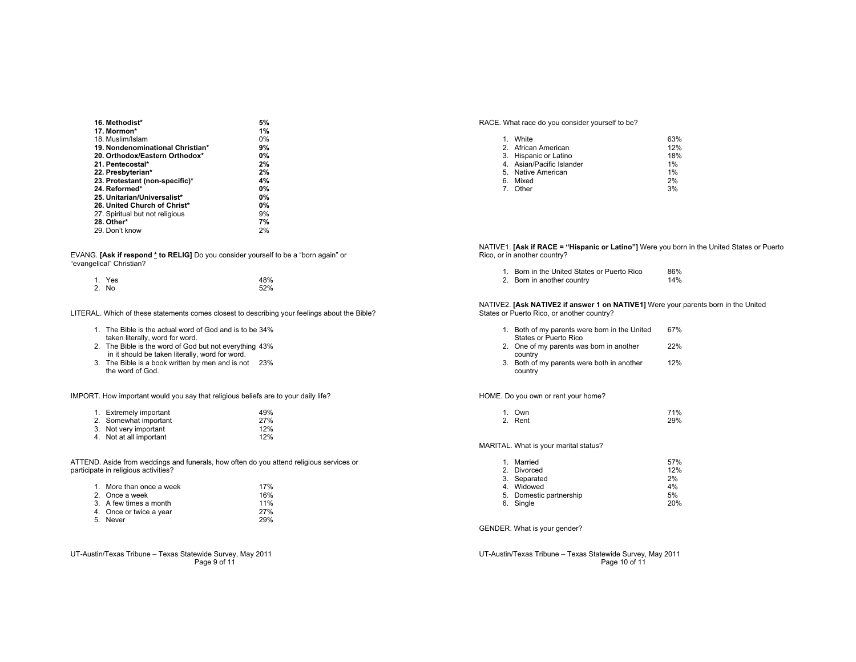| 16. Methodist*                   | 5% |
|----------------------------------|----|
| 17. Mormon*                      | 1% |
| 18. Muslim/Islam                 | 0% |
| 19. Nondenominational Christian* | 9% |
| 20. Orthodox/Eastern Orthodox*   | 0% |
| 21. Pentecostal*                 | 2% |
| 22. Presbyterian*                | 2% |
| 23. Protestant (non-specific)*   | 4% |
| 24. Reformed*                    | 0% |
| 25. Unitarian/Universalist*      | 0% |
| 26. United Church of Christ*     | 0% |
| 27. Spiritual but not religious  | 9% |
| 28. Other*                       | 7% |
| 29. Don't know                   | 2% |

EVANG. **[Ask if respond \* to RELIG]** Do you consider yourself to be a "born again" or "evangelical" Christian?

| 1. Yes | 48% |
|--------|-----|
| 2. No  | 52% |

LITERAL. Which of these statements comes closest to describing your feelings about the Bible?

- 1. The Bible is the actual word of God and is to be 34% taken literally, word for word.
- 2. The Bible is the word of God but not everything 43% in it should be taken literally, word for word.
- 3. The Bible is a book written by men and is not 23% the word of God.

IMPORT. How important would you say that religious beliefs are to your daily life?

| 1. Extremely important  | 49% |
|-------------------------|-----|
| 2. Somewhat important   | 27% |
| 3. Not very important   | 12% |
| 4. Not at all important | 12% |

ATTEND. Aside from weddings and funerals, how often do you attend religious services or participate in religious activities?

| 1. More than once a week | 17% |
|--------------------------|-----|
| 2. Once a week           | 16% |
| 3. A few times a month   | 11% |
| 4. Once or twice a year  | 27% |
| 5. Never                 | 29% |

UT-Austin/Texas Tribune – Texas Statewide Survey, May 2011 Page 9 of 11

RACE. What race do you consider yourself to be?

| 1. White                  | 63% |
|---------------------------|-----|
| 2. African American       | 12% |
| 3. Hispanic or Latino     | 18% |
| 4. Asian/Pacific Islander | 1%  |
| 5. Native American        | 1%  |
| 6. Mixed                  | 2%  |
| 7. Other                  | 3%  |

NATIVE1. **[Ask if RACE = "Hispanic or Latino"]** Were you born in the United States or Puerto Rico, or in another country?

| Born in the United States or Puerto Rico | 86% |
|------------------------------------------|-----|
| 2. Born in another country               | 14% |

NATIVE2. **[Ask NATIVE2 if answer 1 on NATIVE1]** Were your parents born in the United States or Puerto Rico, or another country?

|    | Both of my parents were born in the United<br>States or Puerto Rico | 67%  |
|----|---------------------------------------------------------------------|------|
| 2. | One of my parents was born in another                               | 22%  |
| વ  | country<br>Roth of my narante were both in another                  | 120% |

3. Both of my parents were both in another 12% country

HOME. Do you own or rent your home?

| 1. Own  | 71% |
|---------|-----|
| 2. Rent | 29% |

MARITAL. What is your marital status?

|    | Married                 | 57% |
|----|-------------------------|-----|
|    | 2. Divorced             | 12% |
|    | 3. Separated            | 2%  |
|    | 4. Widowed              | 4%  |
|    | 5. Domestic partnership | 5%  |
| 6. | Single                  | 20% |

GENDER. What is your gender?

UT-Austin/Texas Tribune – Texas Statewide Survey, May 2011 Page 10 of 11